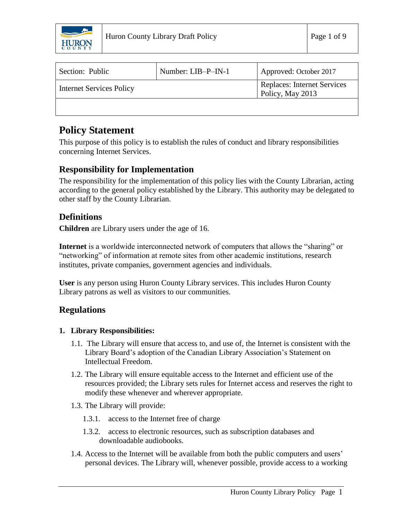

| Section: Public                 | Number: LIB-P-IN-1 | Approved: October 2017                                 |
|---------------------------------|--------------------|--------------------------------------------------------|
| <b>Internet Services Policy</b> |                    | <b>Replaces: Internet Services</b><br>Policy, May 2013 |
|                                 |                    |                                                        |

# **Policy Statement**

This purpose of this policy is to establish the rules of conduct and library responsibilities concerning Internet Services.

# **Responsibility for Implementation**

The responsibility for the implementation of this policy lies with the County Librarian, acting according to the general policy established by the Library. This authority may be delegated to other staff by the County Librarian.

### **Definitions**

**Children** are Library users under the age of 16.

**Internet** is a worldwide interconnected network of computers that allows the "sharing" or "networking" of information at remote sites from other academic institutions, research institutes, private companies, government agencies and individuals.

**User** is any person using Huron County Library services. This includes Huron County Library patrons as well as visitors to our communities.

## **Regulations**

### **1. Library Responsibilities:**

- 1.1. The Library will ensure that access to, and use of, the Internet is consistent with the Library Board's adoption of the Canadian Library Association's Statement on Intellectual Freedom.
- 1.2. The Library will ensure equitable access to the Internet and efficient use of the resources provided; the Library sets rules for Internet access and reserves the right to modify these whenever and wherever appropriate.
- 1.3. The Library will provide:
	- 1.3.1. access to the Internet free of charge
	- 1.3.2. access to electronic resources, such as subscription databases and downloadable audiobooks.
- 1.4. Access to the Internet will be available from both the public computers and users' personal devices. The Library will, whenever possible, provide access to a working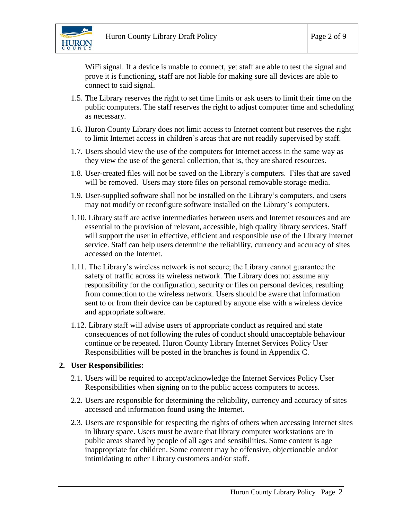

WiFi signal. If a device is unable to connect, yet staff are able to test the signal and prove it is functioning, staff are not liable for making sure all devices are able to connect to said signal.

- 1.5. The Library reserves the right to set time limits or ask users to limit their time on the public computers. The staff reserves the right to adjust computer time and scheduling as necessary.
- 1.6. Huron County Library does not limit access to Internet content but reserves the right to limit Internet access in children's areas that are not readily supervised by staff.
- 1.7. Users should view the use of the computers for Internet access in the same way as they view the use of the general collection, that is, they are shared resources.
- 1.8. User-created files will not be saved on the Library's computers. Files that are saved will be removed. Users may store files on personal removable storage media.
- 1.9. User-supplied software shall not be installed on the Library's computers, and users may not modify or reconfigure software installed on the Library's computers.
- 1.10. Library staff are active intermediaries between users and Internet resources and are essential to the provision of relevant, accessible, high quality library services. Staff will support the user in effective, efficient and responsible use of the Library Internet service. Staff can help users determine the reliability, currency and accuracy of sites accessed on the Internet.
- 1.11. The Library's wireless network is not secure; the Library cannot guarantee the safety of traffic across its wireless network. The Library does not assume any responsibility for the configuration, security or files on personal devices, resulting from connection to the wireless network. Users should be aware that information sent to or from their device can be captured by anyone else with a wireless device and appropriate software.
- 1.12. Library staff will advise users of appropriate conduct as required and state consequences of not following the rules of conduct should unacceptable behaviour continue or be repeated. Huron County Library Internet Services Policy User Responsibilities will be posted in the branches is found in Appendix C.

#### **2. User Responsibilities:**

- 2.1. Users will be required to accept/acknowledge the Internet Services Policy User Responsibilities when signing on to the public access computers to access.
- 2.2. Users are responsible for determining the reliability, currency and accuracy of sites accessed and information found using the Internet.
- 2.3. Users are responsible for respecting the rights of others when accessing Internet sites in library space. Users must be aware that library computer workstations are in public areas shared by people of all ages and sensibilities. Some content is age inappropriate for children. Some content may be offensive, objectionable and/or intimidating to other Library customers and/or staff.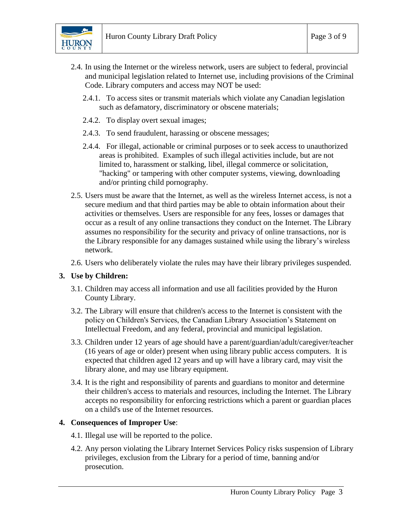

- 2.4. In using the Internet or the wireless network, users are subject to federal, provincial and municipal legislation related to Internet use, including provisions of the Criminal Code. Library computers and access may NOT be used:
	- 2.4.1. To access sites or transmit materials which violate any Canadian legislation such as defamatory, discriminatory or obscene materials;
	- 2.4.2. To display overt sexual images;
	- 2.4.3. To send fraudulent, harassing or obscene messages;
	- 2.4.4. For illegal, actionable or criminal purposes or to seek access to unauthorized areas is prohibited. Examples of such illegal activities include, but are not limited to, harassment or stalking, libel, illegal commerce or solicitation, "hacking" or tampering with other computer systems, viewing, downloading and/or printing child pornography.
- 2.5. Users must be aware that the Internet, as well as the wireless Internet access, is not a secure medium and that third parties may be able to obtain information about their activities or themselves. Users are responsible for any fees, losses or damages that occur as a result of any online transactions they conduct on the Internet. The Library assumes no responsibility for the security and privacy of online transactions, nor is the Library responsible for any damages sustained while using the library's wireless network.
- 2.6. Users who deliberately violate the rules may have their library privileges suspended.

#### **3. Use by Children:**

- 3.1. Children may access all information and use all facilities provided by the Huron County Library.
- 3.2. The Library will ensure that children's access to the Internet is consistent with the policy on Children's Services, the Canadian Library Association's Statement on Intellectual Freedom, and any federal, provincial and municipal legislation.
- 3.3. Children under 12 years of age should have a parent/guardian/adult/caregiver/teacher (16 years of age or older) present when using library public access computers. It is expected that children aged 12 years and up will have a library card, may visit the library alone, and may use library equipment.
- 3.4. It is the right and responsibility of parents and guardians to monitor and determine their children's access to materials and resources, including the Internet. The Library accepts no responsibility for enforcing restrictions which a parent or guardian places on a child's use of the Internet resources.

#### **4. Consequences of Improper Use**:

- 4.1. Illegal use will be reported to the police.
- 4.2. Any person violating the Library Internet Services Policy risks suspension of Library privileges, exclusion from the Library for a period of time, banning and/or prosecution.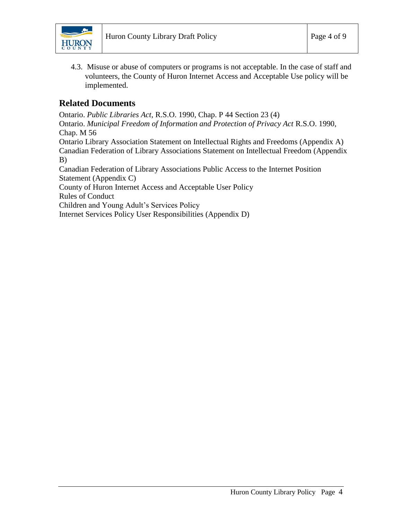

4.3. Misuse or abuse of computers or programs is not acceptable. In the case of staff and volunteers, the County of Huron Internet Access and Acceptable Use policy will be implemented.

### **Related Documents**

Ontario. *Public Libraries Act*, R.S.O. 1990, Chap. P 44 Section 23 (4)

Ontario. *Municipal Freedom of Information and Protection of Privacy Act* R.S.O. 1990, Chap. M 56

Ontario Library Association Statement on Intellectual Rights and Freedoms (Appendix A) Canadian Federation of Library Associations Statement on Intellectual Freedom (Appendix B)

Canadian Federation of Library Associations Public Access to the Internet Position Statement (Appendix C)

County of Huron Internet Access and Acceptable User Policy

Rules of Conduct

Children and Young Adult's Services Policy

Internet Services Policy User Responsibilities (Appendix D)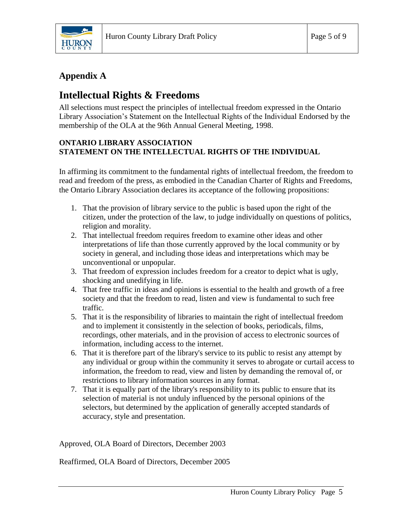

# **Appendix A**

# **Intellectual Rights & Freedoms**

All selections must respect the principles of intellectual freedom expressed in the Ontario Library Association's Statement on the Intellectual Rights of the Individual Endorsed by the membership of the OLA at the 96th Annual General Meeting, 1998.

### **ONTARIO LIBRARY ASSOCIATION STATEMENT ON THE INTELLECTUAL RIGHTS OF THE INDIVIDUAL**

In affirming its commitment to the fundamental rights of intellectual freedom, the freedom to read and freedom of the press, as embodied in the Canadian Charter of Rights and Freedoms, the Ontario Library Association declares its acceptance of the following propositions:

- 1. That the provision of library service to the public is based upon the right of the citizen, under the protection of the law, to judge individually on questions of politics, religion and morality.
- 2. That intellectual freedom requires freedom to examine other ideas and other interpretations of life than those currently approved by the local community or by society in general, and including those ideas and interpretations which may be unconventional or unpopular.
- 3. That freedom of expression includes freedom for a creator to depict what is ugly, shocking and unedifying in life.
- 4. That free traffic in ideas and opinions is essential to the health and growth of a free society and that the freedom to read, listen and view is fundamental to such free traffic.
- 5. That it is the responsibility of libraries to maintain the right of intellectual freedom and to implement it consistently in the selection of books, periodicals, films, recordings, other materials, and in the provision of access to electronic sources of information, including access to the internet.
- 6. That it is therefore part of the library's service to its public to resist any attempt by any individual or group within the community it serves to abrogate or curtail access to information, the freedom to read, view and listen by demanding the removal of, or restrictions to library information sources in any format.
- 7. That it is equally part of the library's responsibility to its public to ensure that its selection of material is not unduly influenced by the personal opinions of the selectors, but determined by the application of generally accepted standards of accuracy, style and presentation.

Approved, OLA Board of Directors, December 2003

Reaffirmed, OLA Board of Directors, December 2005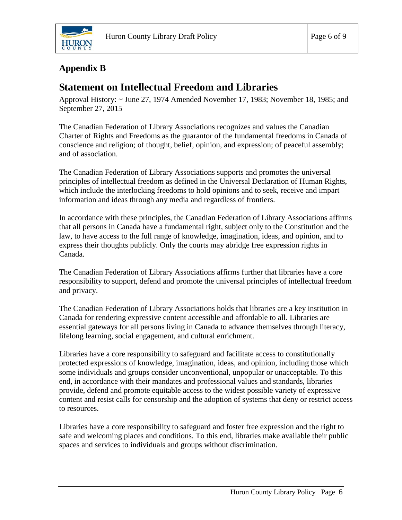

# **Appendix B**

# **Statement on Intellectual Freedom and Libraries**

Approval History: ~ June 27, 1974 Amended November 17, 1983; November 18, 1985; and September 27, 2015

The Canadian Federation of Library Associations recognizes and values the Canadian Charter of Rights and Freedoms as the guarantor of the fundamental freedoms in Canada of conscience and religion; of thought, belief, opinion, and expression; of peaceful assembly; and of association.

The Canadian Federation of Library Associations supports and promotes the universal principles of intellectual freedom as defined in the Universal Declaration of Human Rights, which include the interlocking freedoms to hold opinions and to seek, receive and impart information and ideas through any media and regardless of frontiers.

In accordance with these principles, the Canadian Federation of Library Associations affirms that all persons in Canada have a fundamental right, subject only to the Constitution and the law, to have access to the full range of knowledge, imagination, ideas, and opinion, and to express their thoughts publicly. Only the courts may abridge free expression rights in Canada.

The Canadian Federation of Library Associations affirms further that libraries have a core responsibility to support, defend and promote the universal principles of intellectual freedom and privacy.

The Canadian Federation of Library Associations holds that libraries are a key institution in Canada for rendering expressive content accessible and affordable to all. Libraries are essential gateways for all persons living in Canada to advance themselves through literacy, lifelong learning, social engagement, and cultural enrichment.

Libraries have a core responsibility to safeguard and facilitate access to constitutionally protected expressions of knowledge, imagination, ideas, and opinion, including those which some individuals and groups consider unconventional, unpopular or unacceptable. To this end, in accordance with their mandates and professional values and standards, libraries provide, defend and promote equitable access to the widest possible variety of expressive content and resist calls for censorship and the adoption of systems that deny or restrict access to resources.

Libraries have a core responsibility to safeguard and foster free expression and the right to safe and welcoming places and conditions. To this end, libraries make available their public spaces and services to individuals and groups without discrimination.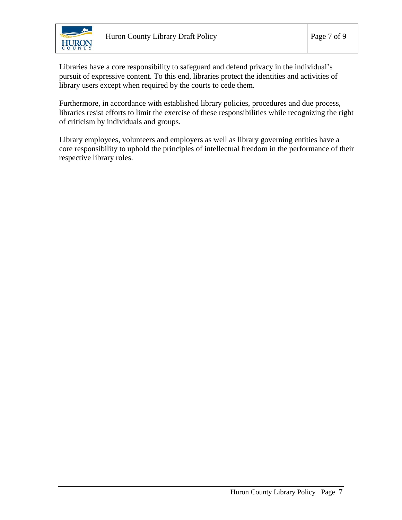

Libraries have a core responsibility to safeguard and defend privacy in the individual's pursuit of expressive content. To this end, libraries protect the identities and activities of library users except when required by the courts to cede them.

Furthermore, in accordance with established library policies, procedures and due process, libraries resist efforts to limit the exercise of these responsibilities while recognizing the right of criticism by individuals and groups.

Library employees, volunteers and employers as well as library governing entities have a core responsibility to uphold the principles of intellectual freedom in the performance of their respective library roles.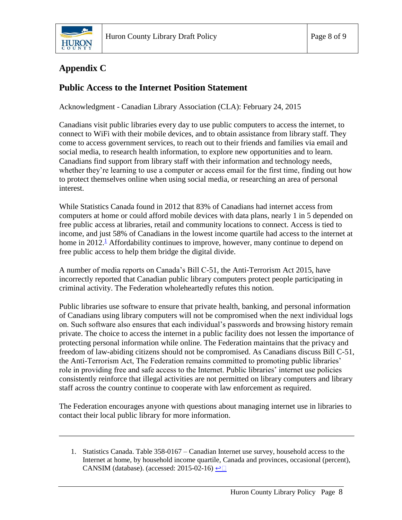

# **Appendix C**

### **Public Access to the Internet Position Statement**

Acknowledgment - Canadian Library Association (CLA): February 24, 2015

Canadians visit public libraries every day to use public computers to access the internet, to connect to WiFi with their mobile devices, and to obtain assistance from library staff. They come to access government services, to reach out to their friends and families via email and social media, to research health information, to explore new opportunities and to learn. Canadians find support from library staff with their information and technology needs, whether they're learning to use a computer or access email for the first time, finding out how to protect themselves online when using social media, or researching an area of personal interest.

While Statistics Canada found in 2012 that 83% of Canadians had internet access from computers at home or could afford mobile devices with data plans, nearly 1 in 5 depended on free public access at libraries, retail and community locations to connect. Access is tied to income, and just 58% of Canadians in the lowest income quartile had access to the internet at home in 20[1](http://cfla-fcab.ca/en/programs/guidelines-and-position-papers/public-access-to-the-internet-position-statement/#fn1)2.<sup>1</sup> Affordability continues to improve, however, many continue to depend on free public access to help them bridge the digital divide.

A number of media reports on Canada's Bill C-51, the Anti-Terrorism Act 2015, have incorrectly reported that Canadian public library computers protect people participating in criminal activity. The Federation wholeheartedly refutes this notion.

Public libraries use software to ensure that private health, banking, and personal information of Canadians using library computers will not be compromised when the next individual logs on. Such software also ensures that each individual's passwords and browsing history remain private. The choice to access the internet in a public facility does not lessen the importance of protecting personal information while online. The Federation maintains that the privacy and freedom of law-abiding citizens should not be compromised. As Canadians discuss Bill C-51, the Anti-Terrorism Act, The Federation remains committed to promoting public libraries' role in providing free and safe access to the Internet. Public libraries' internet use policies consistently reinforce that illegal activities are not permitted on library computers and library staff across the country continue to cooperate with law enforcement as required.

The Federation encourages anyone with questions about managing internet use in libraries to contact their local public library for more information.

1. Statistics Canada. Table 358-0167 – Canadian Internet use survey, household access to the Internet at home, by household income quartile, Canada and provinces, occasional (percent), CANSIM (database). (accessed: 2015-02-16)  $\triangleq \square$